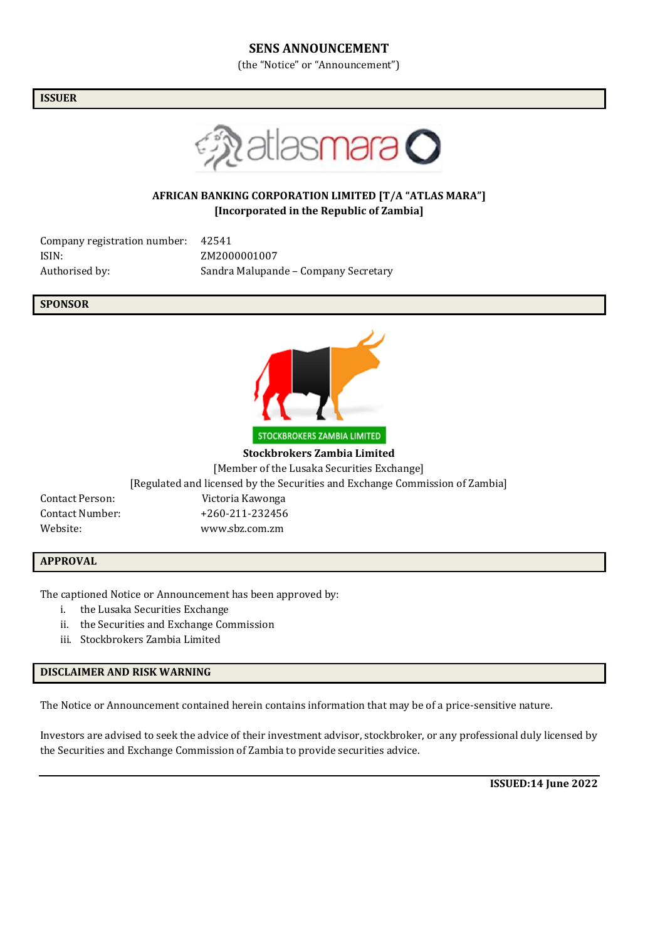### **SENS ANNOUNCEMENT**

(the "Notice" or "Announcement")

**ISSUER**



## **AFRICAN BANKING CORPORATION LIMITED [T/A "ATLAS MARA"] [Incorporated in the Republic of Zambia]**

| Company registration number: | 42541                                |
|------------------------------|--------------------------------------|
| ISIN:                        | ZM2000001007                         |
| Authorised by:               | Sandra Malupande - Company Secretary |

**SPONSOR**



**Stockbrokers Zambia Limited**

[Member of the Lusaka Securities Exchange]

[Regulated and licensed by the Securities and Exchange Commission of Zambia]

Contact Person: Victoria Kawonga Contact Number: +260-211-232456 Website: www.sbz.com.zm

### **APPROVAL**

The captioned Notice or Announcement has been approved by:

- i. the Lusaka Securities Exchange
- ii. the Securities and Exchange Commission
- iii. Stockbrokers Zambia Limited

### **DISCLAIMER AND RISK WARNING**

The Notice or Announcement contained herein contains information that may be of a price-sensitive nature.

Investors are advised to seek the advice of their investment advisor, stockbroker, or any professional duly licensed by the Securities and Exchange Commission of Zambia to provide securities advice.

**ISSUED:14 June 2022**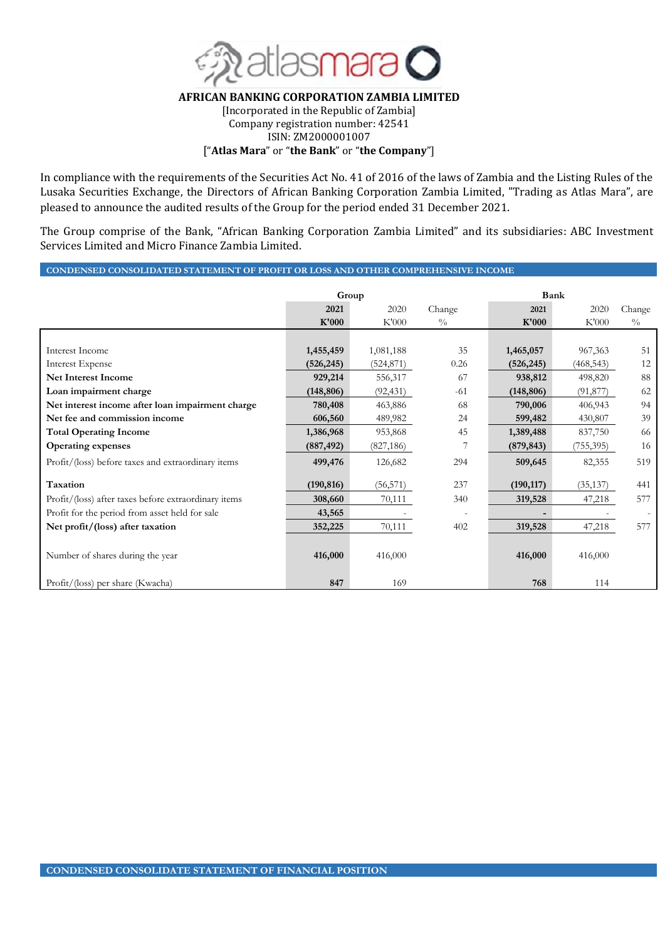

### **AFRICAN BANKING CORPORATION ZAMBIA LIMITED**

[Incorporated in the Republic of Zambia] Company registration number: 42541 ISIN: ZM2000001007

["**Atlas Mara**" or "**the Bank**" or "**the Company**"]

In compliance with the requirements of the Securities Act No. 41 of 2016 of the laws of Zambia and the Listing Rules of the Lusaka Securities Exchange, the Directors of African Banking Corporation Zambia Limited, "Trading as Atlas Mara", are pleased to announce the audited results of the Group for the period ended 31 December 2021.

The Group comprise of the Bank, "African Banking Corporation Zambia Limited" and its subsidiaries: ABC Investment Services Limited and Micro Finance Zambia Limited.

### **CONDENSED CONSOLIDATED STATEMENT OF PROFIT OR LOSS AND OTHER COMPREHENSIVE INCOME**

|                                                      | Group      |            |               | Bank       |            |               |
|------------------------------------------------------|------------|------------|---------------|------------|------------|---------------|
|                                                      | 2021       | 2020       | Change        | 2021       | 2020       | Change        |
|                                                      | K'000      | K'000      | $\frac{0}{0}$ | K'000      | K'000      | $\frac{0}{0}$ |
|                                                      |            |            |               |            |            |               |
| Interest Income                                      | 1,455,459  | 1,081,188  | 35            | 1,465,057  | 967,363    | 51            |
| Interest Expense                                     | (526, 245) | (524, 871) | 0.26          | (526, 245) | (468, 543) | 12            |
| <b>Net Interest Income</b>                           | 929,214    | 556,317    | 67            | 938,812    | 498,820    | 88            |
| Loan impairment charge                               | (148, 806) | (92, 431)  | $-61$         | (148, 806) | (91, 877)  | 62            |
| Net interest income after loan impairment charge     | 780,408    | 463,886    | 68            | 790,006    | 406,943    | 94            |
| Net fee and commission income                        | 606,560    | 489,982    | 24            | 599,482    | 430,807    | 39            |
| <b>Total Operating Income</b>                        | 1,386,968  | 953,868    | 45            | 1,389,488  | 837,750    | 66            |
| <b>Operating expenses</b>                            | (887, 492) | (827, 186) |               | (879, 843) | (755,395)  | 16            |
| Profit/(loss) before taxes and extraordinary items   | 499,476    | 126,682    | 294           | 509,645    | 82,355     | 519           |
| Taxation                                             | (190, 816) | (56, 571)  | 237           | (190, 117) | (35, 137)  | 441           |
| Profit/(loss) after taxes before extraordinary items | 308,660    | 70,111     | 340           | 319,528    | 47,218     | 577           |
| Profit for the period from asset held for sale       | 43,565     |            |               |            |            |               |
| Net profit/(loss) after taxation                     | 352,225    | 70,111     | 402           | 319,528    | 47,218     | 577           |
| Number of shares during the year                     | 416,000    | 416,000    |               | 416,000    | 416,000    |               |
| Profit/(loss) per share (Kwacha)                     | 847        | 169        |               | 768        | 114        |               |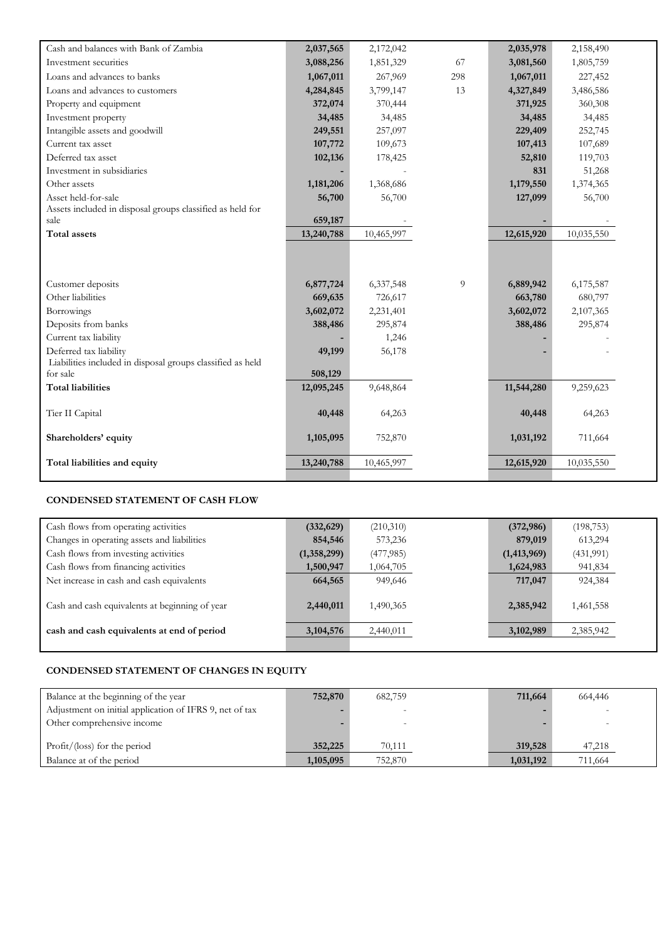| Cash and balances with Bank of Zambia                      | 2,037,565  | 2,172,042  |     | 2,035,978  | 2,158,490  |  |
|------------------------------------------------------------|------------|------------|-----|------------|------------|--|
| Investment securities                                      | 3,088,256  | 1,851,329  | 67  | 3,081,560  | 1,805,759  |  |
| Loans and advances to banks                                | 1,067,011  | 267,969    | 298 | 1,067,011  | 227,452    |  |
| Loans and advances to customers                            | 4,284,845  | 3,799,147  | 13  | 4,327,849  | 3,486,586  |  |
| Property and equipment                                     | 372,074    | 370,444    |     | 371,925    | 360,308    |  |
| Investment property                                        | 34,485     | 34,485     |     | 34,485     | 34,485     |  |
| Intangible assets and goodwill                             | 249,551    | 257,097    |     | 229,409    | 252,745    |  |
| Current tax asset                                          | 107,772    | 109,673    |     | 107,413    | 107,689    |  |
| Deferred tax asset                                         | 102,136    | 178,425    |     | 52,810     | 119,703    |  |
| Investment in subsidiaries                                 |            |            |     | 831        | 51,268     |  |
| Other assets                                               | 1,181,206  | 1,368,686  |     | 1,179,550  | 1,374,365  |  |
| Asset held-for-sale                                        | 56,700     | 56,700     |     | 127,099    | 56,700     |  |
| Assets included in disposal groups classified as held for  |            |            |     |            |            |  |
| sale                                                       | 659,187    |            |     |            |            |  |
| Total assets                                               | 13,240,788 | 10,465,997 |     | 12,615,920 | 10,035,550 |  |
|                                                            |            |            |     |            |            |  |
|                                                            |            |            |     |            |            |  |
| Customer deposits                                          | 6,877,724  | 6,337,548  | 9   | 6,889,942  | 6,175,587  |  |
| Other liabilities                                          | 669,635    | 726,617    |     | 663,780    | 680,797    |  |
| Borrowings                                                 | 3,602,072  | 2,231,401  |     | 3,602,072  | 2,107,365  |  |
| Deposits from banks                                        | 388,486    | 295,874    |     | 388,486    | 295,874    |  |
| Current tax liability                                      |            | 1,246      |     |            |            |  |
| Deferred tax liability                                     | 49,199     | 56,178     |     |            |            |  |
| Liabilities included in disposal groups classified as held |            |            |     |            |            |  |
| for sale                                                   | 508,129    |            |     |            |            |  |
| <b>Total liabilities</b>                                   | 12,095,245 | 9,648,864  |     | 11,544,280 | 9,259,623  |  |
| Tier II Capital                                            | 40,448     | 64,263     |     | 40,448     | 64,263     |  |
|                                                            |            |            |     |            |            |  |
| Shareholders' equity                                       | 1,105,095  | 752,870    |     | 1,031,192  | 711,664    |  |
|                                                            |            |            |     |            |            |  |
| Total liabilities and equity                               | 13,240,788 | 10,465,997 |     | 12,615,920 | 10,035,550 |  |
|                                                            |            |            |     |            |            |  |

# **CONDENSED STATEMENT OF CASH FLOW**

| Cash flows from operating activities           | (332, 629)  | (210,310) | (372, 986)    | (198, 753) |  |
|------------------------------------------------|-------------|-----------|---------------|------------|--|
| Changes in operating assets and liabilities    | 854,546     | 573,236   | 879,019       | 613,294    |  |
| Cash flows from investing activities           | (1,358,299) | (477,985) | (1, 413, 969) | (431,991)  |  |
| Cash flows from financing activities           | 1,500,947   | 1,064,705 | 1,624,983     | 941,834    |  |
| Net increase in cash and cash equivalents      | 664,565     | 949,646   | 717,047       | 924,384    |  |
| Cash and cash equivalents at beginning of year | 2,440,011   | 1,490,365 | 2,385,942     | 1,461,558  |  |
| cash and cash equivalents at end of period     | 3, 104, 576 | 2,440,011 | 3,102,989     | 2,385,942  |  |
|                                                |             |           |               |            |  |

## **CONDENSED STATEMENT OF CHANGES IN EQUITY**

| Balance at the beginning of the year                    | 752,870   | 682,759 | 711,664   | 664,446 |  |
|---------------------------------------------------------|-----------|---------|-----------|---------|--|
| Adjustment on initial application of IFRS 9, net of tax |           |         |           |         |  |
| Other comprehensive income                              |           |         |           |         |  |
|                                                         |           |         |           |         |  |
| $Profit/$ (loss) for the period                         | 352,225   | 70,111  | 319,528   | 47,218  |  |
| Balance at of the period                                | 1,105,095 | 752,870 | 1,031,192 | 711,664 |  |